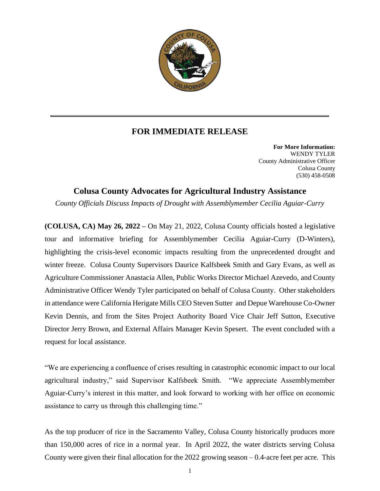

## **FOR IMMEDIATE RELEASE**

**For More Information:** WENDY TYLER County Administrative Officer Colusa County (530) 458-0508

## **Colusa County Advocates for Agricultural Industry Assistance**

*County Officials Discuss Impacts of Drought with Assemblymember Cecilia Aguiar-Curry*

**(COLUSA, CA) May 26, 2022 –** On May 21, 2022, Colusa County officials hosted a legislative tour and informative briefing for Assemblymember Cecilia Aguiar-Curry (D-Winters), highlighting the crisis-level economic impacts resulting from the unprecedented drought and winter freeze. Colusa County Supervisors Daurice Kalfsbeek Smith and Gary Evans, as well as Agriculture Commissioner Anastacia Allen, Public Works Director Michael Azevedo, and County Administrative Officer Wendy Tyler participated on behalf of Colusa County. Other stakeholders in attendance were California Herigate Mills CEO Steven Sutter and Depue Warehouse Co-Owner Kevin Dennis, and from the Sites Project Authority Board Vice Chair Jeff Sutton, Executive Director Jerry Brown, and External Affairs Manager Kevin Spesert. The event concluded with a request for local assistance.

"We are experiencing a confluence of crises resulting in catastrophic economic impact to our local agricultural industry," said Supervisor Kalfsbeek Smith. "We appreciate Assemblymember Aguiar-Curry's interest in this matter, and look forward to working with her office on economic assistance to carry us through this challenging time."

As the top producer of rice in the Sacramento Valley, Colusa County historically produces more than 150,000 acres of rice in a normal year. In April 2022, the water districts serving Colusa County were given their final allocation for the 2022 growing season – 0.4-acre feet per acre. This